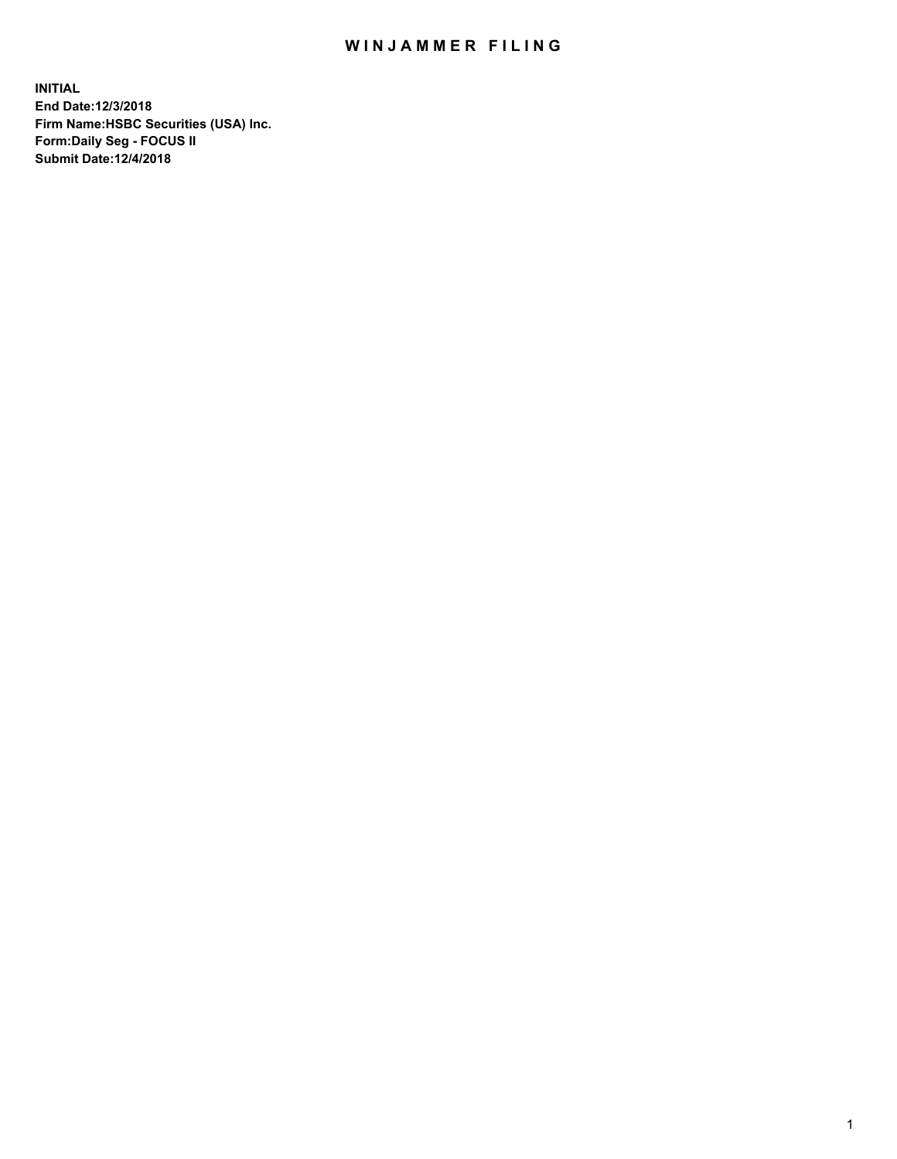## WIN JAMMER FILING

**INITIAL End Date:12/3/2018 Firm Name:HSBC Securities (USA) Inc. Form:Daily Seg - FOCUS II Submit Date:12/4/2018**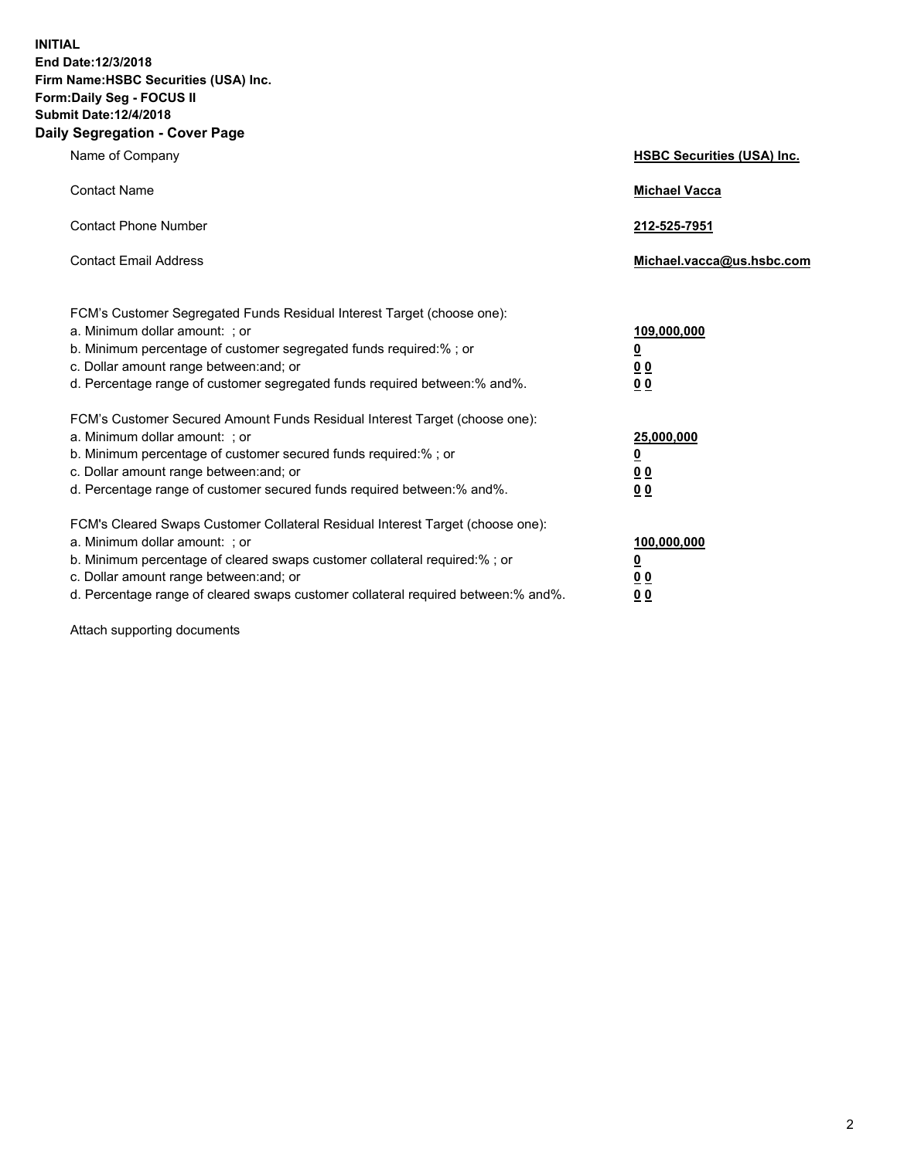**INITIAL End Date:12/3/2018 Firm Name:HSBC Securities (USA) Inc. Form:Daily Seg - FOCUS II Submit Date:12/4/2018 Daily Segregation - Cover Page**

| Name of Company                                                                                                                                                                                                                                                                                                                | <b>HSBC Securities (USA) Inc.</b>                                          |
|--------------------------------------------------------------------------------------------------------------------------------------------------------------------------------------------------------------------------------------------------------------------------------------------------------------------------------|----------------------------------------------------------------------------|
| <b>Contact Name</b>                                                                                                                                                                                                                                                                                                            | <b>Michael Vacca</b>                                                       |
| <b>Contact Phone Number</b>                                                                                                                                                                                                                                                                                                    | 212-525-7951                                                               |
| <b>Contact Email Address</b>                                                                                                                                                                                                                                                                                                   | Michael.vacca@us.hsbc.com                                                  |
| FCM's Customer Segregated Funds Residual Interest Target (choose one):<br>a. Minimum dollar amount: : or<br>b. Minimum percentage of customer segregated funds required:% ; or<br>c. Dollar amount range between: and; or<br>d. Percentage range of customer segregated funds required between:% and%.                         | 109,000,000<br>$\overline{\mathbf{0}}$<br>0 <sub>0</sub><br>0 <sub>0</sub> |
| FCM's Customer Secured Amount Funds Residual Interest Target (choose one):<br>a. Minimum dollar amount: ; or<br>b. Minimum percentage of customer secured funds required:%; or<br>c. Dollar amount range between: and; or<br>d. Percentage range of customer secured funds required between:% and%.                            | 25,000,000<br>$\overline{\mathbf{0}}$<br>0 <sub>0</sub><br>0 <sub>0</sub>  |
| FCM's Cleared Swaps Customer Collateral Residual Interest Target (choose one):<br>a. Minimum dollar amount: ; or<br>b. Minimum percentage of cleared swaps customer collateral required:% ; or<br>c. Dollar amount range between: and; or<br>d. Percentage range of cleared swaps customer collateral required between:% and%. | 100,000,000<br>$\overline{\mathbf{0}}$<br>0 <sub>0</sub><br>0 <sub>0</sub> |

Attach supporting documents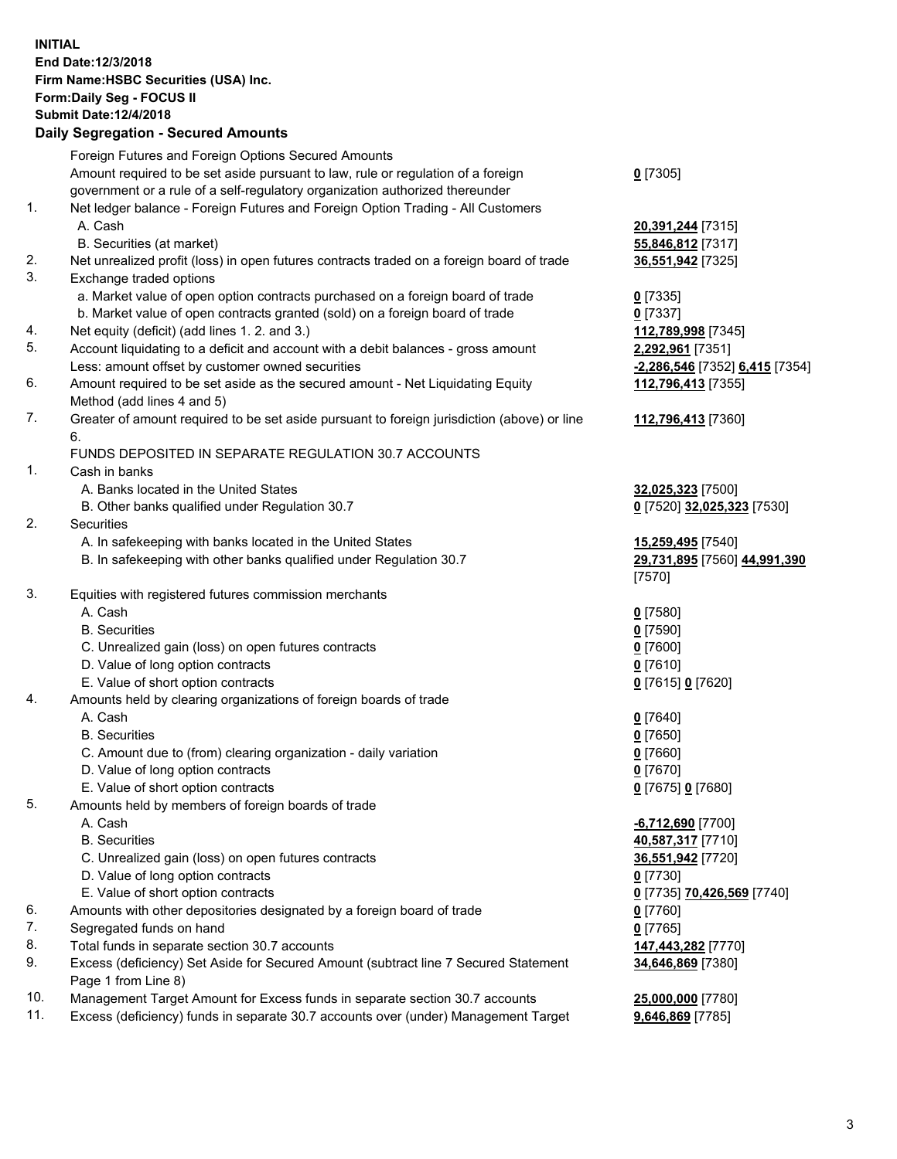**INITIAL End Date:12/3/2018 Firm Name:HSBC Securities (USA) Inc. Form:Daily Seg - FOCUS II Submit Date:12/4/2018 Daily Segregation - Secured Amounts** Foreign Futures and Foreign Options Secured Amounts Amount required to be set aside pursuant to law, rule or regulation of a foreign government or a rule of a self-regulatory organization authorized thereunder **0** [7305] 1. Net ledger balance - Foreign Futures and Foreign Option Trading - All Customers A. Cash **20,391,244** [7315] B. Securities (at market) **55,846,812** [7317] 2. Net unrealized profit (loss) in open futures contracts traded on a foreign board of trade **36,551,942** [7325] 3. Exchange traded options a. Market value of open option contracts purchased on a foreign board of trade **0** [7335] b. Market value of open contracts granted (sold) on a foreign board of trade **0** [7337] 4. Net equity (deficit) (add lines 1. 2. and 3.) **112,789,998** [7345] 5. Account liquidating to a deficit and account with a debit balances - gross amount **2,292,961** [7351] Less: amount offset by customer owned securities **-2,286,546** [7352] **6,415** [7354] 6. Amount required to be set aside as the secured amount - Net Liquidating Equity Method (add lines 4 and 5) **112,796,413** [7355] 7. Greater of amount required to be set aside pursuant to foreign jurisdiction (above) or line 6. **112,796,413** [7360] FUNDS DEPOSITED IN SEPARATE REGULATION 30.7 ACCOUNTS 1. Cash in banks A. Banks located in the United States **32,025,323** [7500] B. Other banks qualified under Regulation 30.7 **0** [7520] **32,025,323** [7530] 2. Securities A. In safekeeping with banks located in the United States **15,259,495** [7540] B. In safekeeping with other banks qualified under Regulation 30.7 **29,731,895** [7560] **44,991,390** [7570] 3. Equities with registered futures commission merchants A. Cash **0** [7580] B. Securities **0** [7590] C. Unrealized gain (loss) on open futures contracts **0** [7600] D. Value of long option contracts **0** [7610] E. Value of short option contracts **0** [7615] **0** [7620] 4. Amounts held by clearing organizations of foreign boards of trade A. Cash **0** [7640] B. Securities **0** [7650] C. Amount due to (from) clearing organization - daily variation **0** [7660] D. Value of long option contracts **0** [7670] E. Value of short option contracts **0** [7675] **0** [7680] 5. Amounts held by members of foreign boards of trade A. Cash **-6,712,690** [7700] B. Securities **40,587,317** [7710] C. Unrealized gain (loss) on open futures contracts **36,551,942** [7720] D. Value of long option contracts **0** [7730] E. Value of short option contracts **0** [7735] **70,426,569** [7740] 6. Amounts with other depositories designated by a foreign board of trade **0** [7760] 7. Segregated funds on hand **0** [7765]

- 8. Total funds in separate section 30.7 accounts **147,443,282** [7770]
- 9. Excess (deficiency) Set Aside for Secured Amount (subtract line 7 Secured Statement Page 1 from Line 8)
- 10. Management Target Amount for Excess funds in separate section 30.7 accounts **25,000,000** [7780]
- 11. Excess (deficiency) funds in separate 30.7 accounts over (under) Management Target **9,646,869** [7785]

**34,646,869** [7380]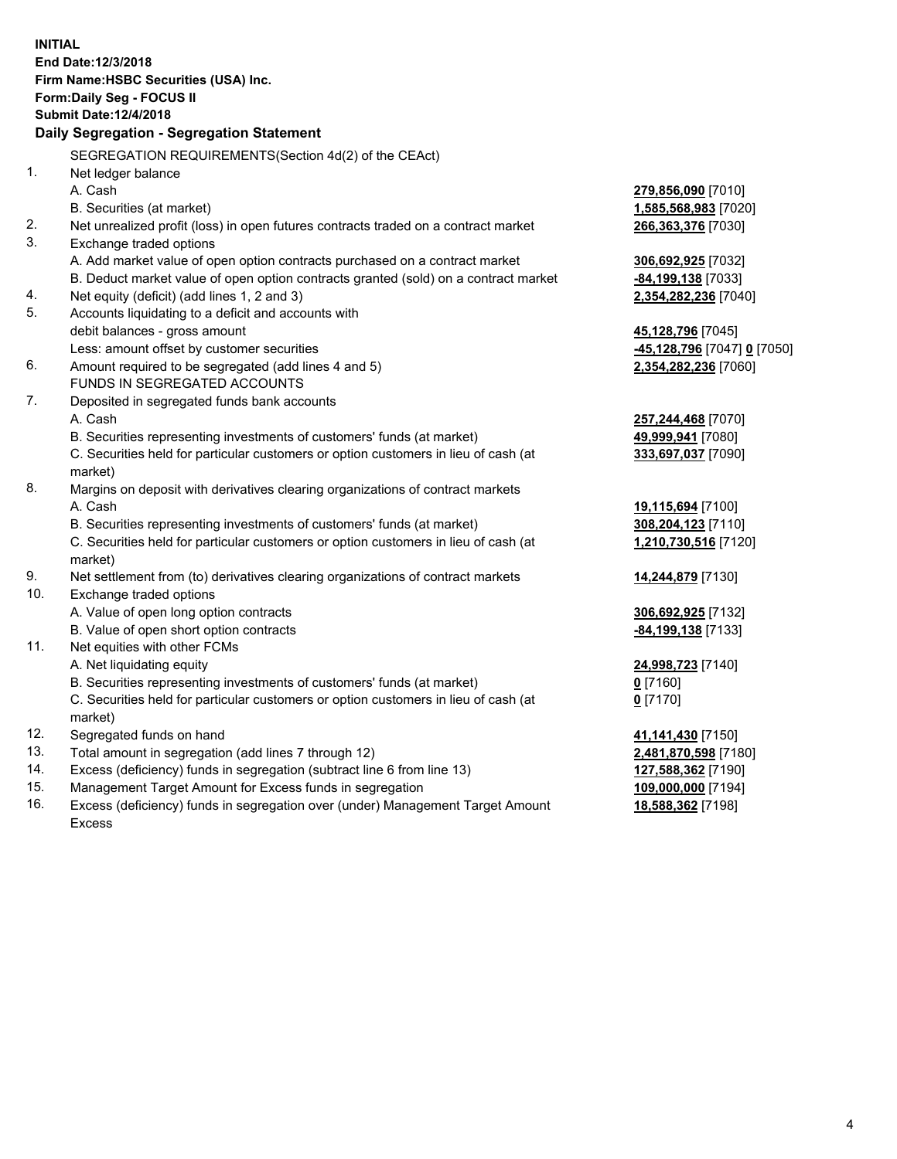|            | <b>INITIAL</b>                                                                      |                             |
|------------|-------------------------------------------------------------------------------------|-----------------------------|
|            | End Date: 12/3/2018                                                                 |                             |
|            | Firm Name: HSBC Securities (USA) Inc.                                               |                             |
|            | Form: Daily Seg - FOCUS II                                                          |                             |
|            | <b>Submit Date:12/4/2018</b>                                                        |                             |
|            | Daily Segregation - Segregation Statement                                           |                             |
|            | SEGREGATION REQUIREMENTS(Section 4d(2) of the CEAct)                                |                             |
| 1.         | Net ledger balance                                                                  |                             |
|            | A. Cash                                                                             | 279,856,090 [7010]          |
|            | B. Securities (at market)                                                           | 1,585,568,983 [7020]        |
| 2.         | Net unrealized profit (loss) in open futures contracts traded on a contract market  | 266,363,376 [7030]          |
| 3.         | Exchange traded options                                                             |                             |
|            | A. Add market value of open option contracts purchased on a contract market         | 306,692,925 [7032]          |
|            | B. Deduct market value of open option contracts granted (sold) on a contract market | -84,199,138 [7033]          |
| 4.         | Net equity (deficit) (add lines 1, 2 and 3)                                         | 2,354,282,236 [7040]        |
| 5.         | Accounts liquidating to a deficit and accounts with                                 |                             |
|            | debit balances - gross amount                                                       | 45,128,796 [7045]           |
|            | Less: amount offset by customer securities                                          | -45,128,796 [7047] 0 [7050] |
| 6.         | Amount required to be segregated (add lines 4 and 5)                                | 2,354,282,236 [7060]        |
|            | FUNDS IN SEGREGATED ACCOUNTS                                                        |                             |
| 7.         | Deposited in segregated funds bank accounts                                         |                             |
|            | A. Cash                                                                             | 257,244,468 [7070]          |
|            | B. Securities representing investments of customers' funds (at market)              | 49,999,941 [7080]           |
|            | C. Securities held for particular customers or option customers in lieu of cash (at | 333,697,037 [7090]          |
|            | market)                                                                             |                             |
| 8.         | Margins on deposit with derivatives clearing organizations of contract markets      |                             |
|            | A. Cash                                                                             | 19,115,694 [7100]           |
|            | B. Securities representing investments of customers' funds (at market)              | 308,204,123 [7110]          |
|            | C. Securities held for particular customers or option customers in lieu of cash (at | 1,210,730,516 [7120]        |
|            | market)                                                                             |                             |
| 9.         | Net settlement from (to) derivatives clearing organizations of contract markets     | 14,244,879 [7130]           |
| 10.        | Exchange traded options                                                             |                             |
|            | A. Value of open long option contracts                                              | 306,692,925 [7132]          |
|            | B. Value of open short option contracts                                             | -84,199,138 [7133]          |
| 11.        | Net equities with other FCMs                                                        |                             |
|            | A. Net liquidating equity                                                           | 24,998,723 [7140]           |
|            | B. Securities representing investments of customers' funds (at market)              | $0$ [7160]                  |
|            | C. Securities held for particular customers or option customers in lieu of cash (at | $0$ [7170]                  |
|            | market)                                                                             |                             |
| 12.        | Segregated funds on hand                                                            | 41,141,430 [7150]           |
| 13.        | Total amount in segregation (add lines 7 through 12)                                | 2,481,870,598 [7180]        |
| 14.        | Excess (deficiency) funds in segregation (subtract line 6 from line 13)             | 127,588,362 [7190]          |
| 15.<br>16. | Management Target Amount for Excess funds in segregation                            | 109,000,000 [7194]          |
|            | Excess (deficiency) funds in segregation over (under) Management Target Amount      | 18,588,362 [7198]           |

16. Excess (deficiency) funds in segregation over (under) Management Target Amount Excess